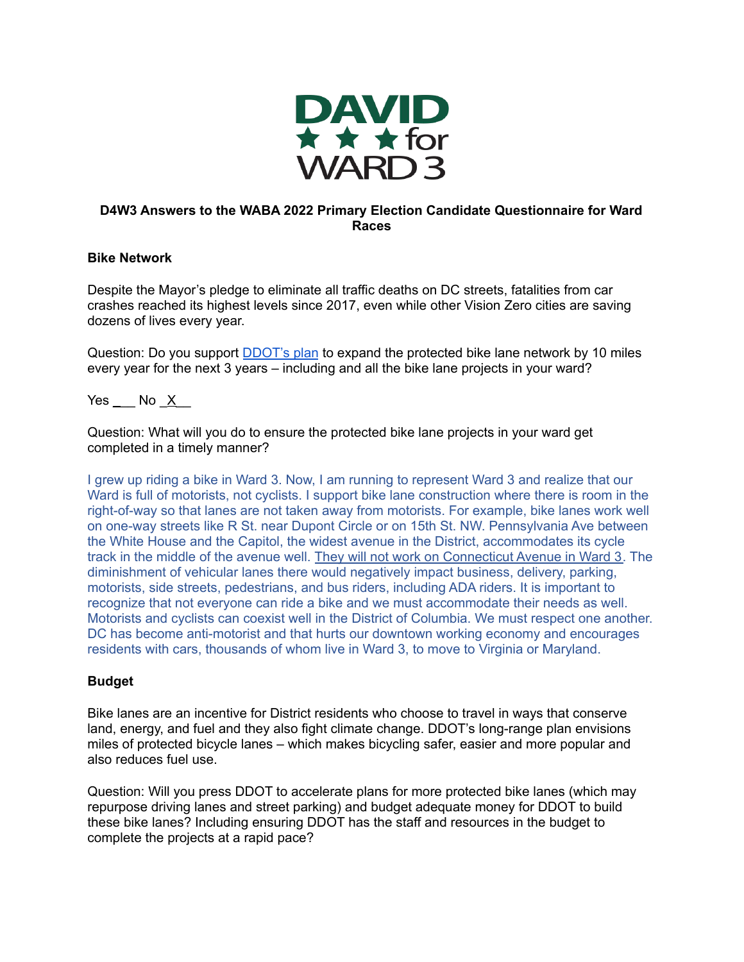

# **D4W3 Answers to the WABA 2022 Primary Election Candidate Questionnaire for Ward Races**

## **Bike Network**

Despite the Mayor's pledge to eliminate all traffic deaths on DC streets, fatalities from car crashes reached its highest levels since 2017, even while other Vision Zero cities are saving dozens of lives every year.

Question: Do you support **[DDOT's plan](https://ddot.dc.gov/page/bicycle-lanes)** to expand the protected bike lane network by 10 miles every year for the next 3 years – including and all the bike lane projects in your ward?

Yes  $\_\_\_\$  No  $\_\times$ 

Question: What will you do to ensure the protected bike lane projects in your ward get completed in a timely manner?

I grew up riding a bike in Ward 3. Now, I am running to represent Ward 3 and realize that our Ward is full of motorists, not cyclists. I support bike lane construction where there is room in the right-of-way so that lanes are not taken away from motorists. For example, bike lanes work well on one-way streets like R St. near Dupont Circle or on 15th St. NW. Pennsylvania Ave between the White House and the Capitol, the widest avenue in the District, accommodates its cycle track in the middle of the avenue well. They will not work on Connecticut Avenue in Ward 3. The diminishment of vehicular lanes there would negatively impact business, delivery, parking, motorists, side streets, pedestrians, and bus riders, including ADA riders. It is important to recognize that not everyone can ride a bike and we must accommodate their needs as well. Motorists and cyclists can coexist well in the District of Columbia. We must respect one another. DC has become anti-motorist and that hurts our downtown working economy and encourages residents with cars, thousands of whom live in Ward 3, to move to Virginia or Maryland.

# **Budget**

Bike lanes are an incentive for District residents who choose to travel in ways that conserve land, energy, and fuel and they also fight climate change. DDOT's long-range plan envisions miles of protected bicycle lanes – which makes bicycling safer, easier and more popular and also reduces fuel use.

Question: Will you press DDOT to accelerate plans for more protected bike lanes (which may repurpose driving lanes and street parking) and budget adequate money for DDOT to build these bike lanes? Including ensuring DDOT has the staff and resources in the budget to complete the projects at a rapid pace?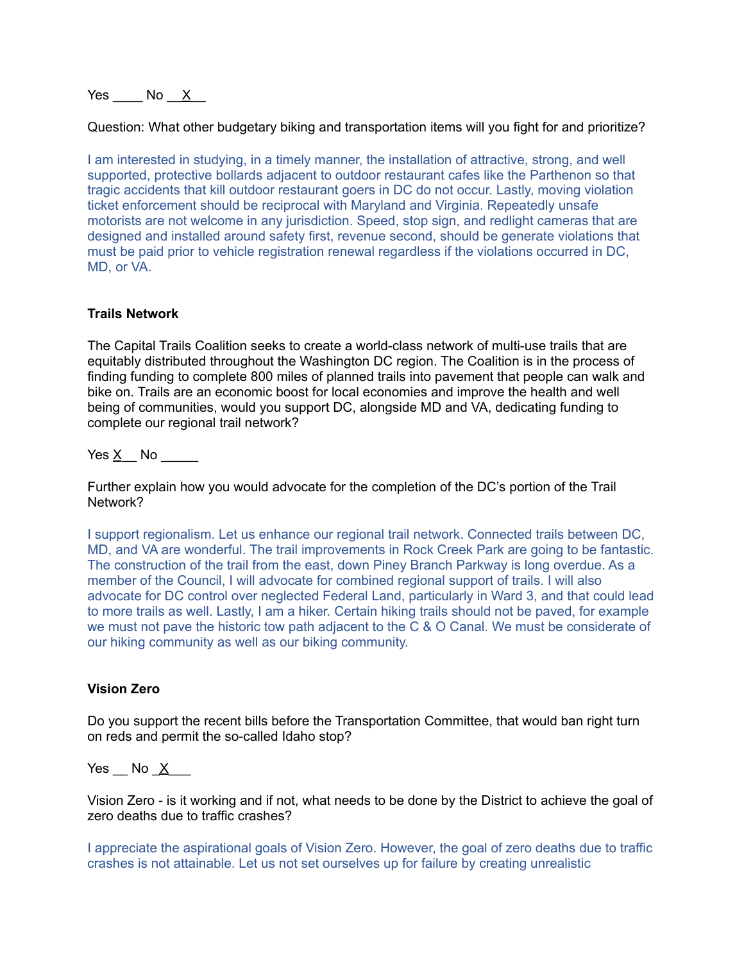# Yes  $\overline{N}$  No  $\overline{X}$

Question: What other budgetary biking and transportation items will you fight for and prioritize?

I am interested in studying, in a timely manner, the installation of attractive, strong, and well supported, protective bollards adjacent to outdoor restaurant cafes like the Parthenon so that tragic accidents that kill outdoor restaurant goers in DC do not occur. Lastly, moving violation ticket enforcement should be reciprocal with Maryland and Virginia. Repeatedly unsafe motorists are not welcome in any jurisdiction. Speed, stop sign, and redlight cameras that are designed and installed around safety first, revenue second, should be generate violations that must be paid prior to vehicle registration renewal regardless if the violations occurred in DC, MD, or VA.

#### **Trails Network**

The Capital Trails Coalition seeks to create a world-class network of multi-use trails that are equitably distributed throughout the Washington DC region. The Coalition is in the process of finding funding to complete 800 miles of planned trails into pavement that people can walk and bike on. Trails are an economic boost for local economies and improve the health and well being of communities, would you support DC, alongside MD and VA, dedicating funding to complete our regional trail network?

Yes X No  $\blacksquare$ 

Further explain how you would advocate for the completion of the DC's portion of the Trail Network?

I support regionalism. Let us enhance our regional trail network. Connected trails between DC, MD, and VA are wonderful. The trail improvements in Rock Creek Park are going to be fantastic. The construction of the trail from the east, down Piney Branch Parkway is long overdue. As a member of the Council, I will advocate for combined regional support of trails. I will also advocate for DC control over neglected Federal Land, particularly in Ward 3, and that could lead to more trails as well. Lastly, I am a hiker. Certain hiking trails should not be paved, for example we must not pave the historic tow path adjacent to the C & O Canal. We must be considerate of our hiking community as well as our biking community.

#### **Vision Zero**

Do you support the recent bills before the Transportation Committee, that would ban right turn on reds and permit the so-called Idaho stop?

Yes  $\mod X$ 

Vision Zero - is it working and if not, what needs to be done by the District to achieve the goal of zero deaths due to traffic crashes?

I appreciate the aspirational goals of Vision Zero. However, the goal of zero deaths due to traffic crashes is not attainable. Let us not set ourselves up for failure by creating unrealistic